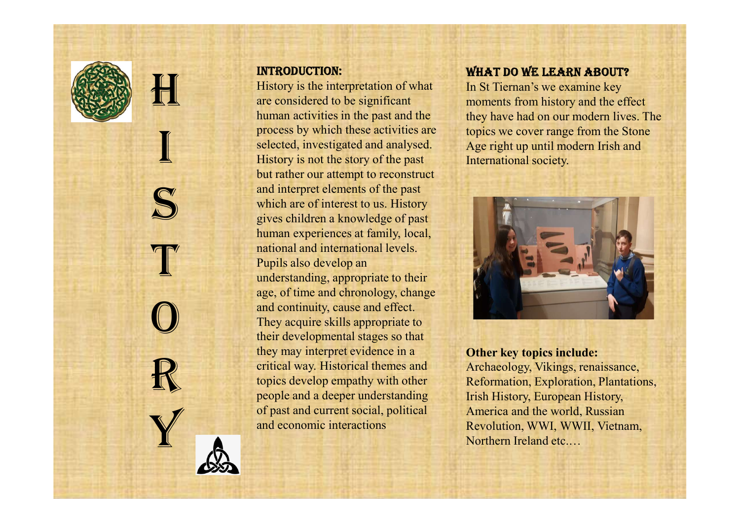

I

### InTROducTIOn:

**HELENA EXECUTED**<br>History is the interesting the considered<br>human activities sand interpretention of the same of the same of the same of the same of the same of the same of the same of the same of the same of the same of the same of the same of the same of the same of the same of the same of the sa mational and<br>Pupils also d<br>understandin Sex of the calculations of the changes of the continuity, cause and effect.<br>They acquire skills appropriate to<br>their developmental stages so that R<br>
Friend way. His topics develop or past and current and economic in History is the interpretation of what In St Tie are considered to be significant human activities in the past and the process by which these activities are selected, investigated and analysed. History is not the story of the past but rather our attempt to reconstruct and interpret elements of the past which are of interest to us. History gives children a knowledge of past human experiences at family, local, national and international levels. Pupils also develop an understanding, appropriate to their age, of time and chronology, change They acquire skills appropriate to their developmental stages so that they may interpret evidence in a critical way. Historical themes and topics develop empathy with other people and a deeper understanding of past and current social, political and economic interactions

### WHAT DO WE LEARN ABOUT?

In St Tiernan's we examine key moments from history and the effect they have had on our modern lives. The topics we cover range from the Stone Age right up until modern Irish and International society.



#### Other key topics include:

Archaeology, Vikings, renaissance, Reformation, Exploration, Plantations, Irish History, European History, America and the world, Russian Revolution, WWI, WWII, Vietnam, Northern Ireland etc.…